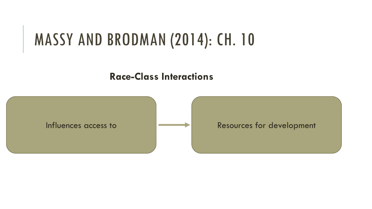**Race-Class Interactions** 

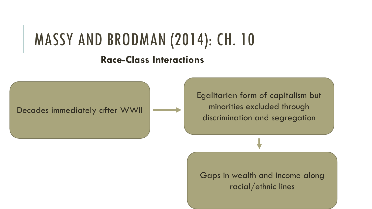#### **Race-Class Interactions**

Decades immediately after WWII

Egalitarian form of capitalism but minorities excluded through discrimination and segregation

Gaps in wealth and income along racial/ethnic lines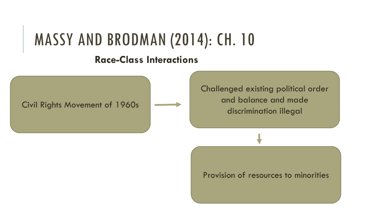### **Race-Class Interactions**

Civil Rights Movement of 1960s

Challenged existing political order and balance and made discrimination illegal

Provision of resources to minorities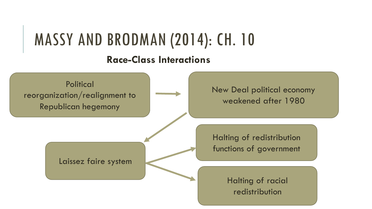#### **Race-Class Interactions**

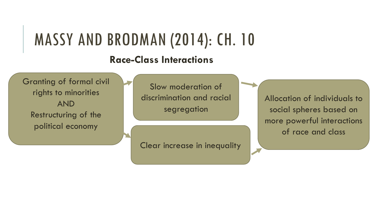#### **Race-Class Interactions**

Granting of formal civil rights to minorities AND Restructuring of the political economy

Slow moderation of discrimination and racial segregation

Clear increase in inequality

Allocation of individuals to social spheres based on more powerful interactions of race and class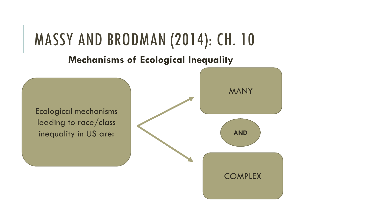**Mechanisms of Ecological Inequality**